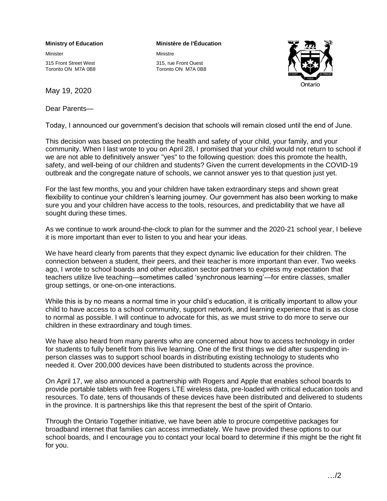## **Ministry of Education**

Minister

315 Front Street West Toronto ON M7A 0B8

May 19, 2020

Dear Parents—

## **Ministère de l'Éducation**

Ministre 315, rue Front Ouest Toronto ON M7A 0B8



Today, I announced our government's decision that schools will remain closed until the end of June.

This decision was based on protecting the health and safety of your child, your family, and your community. When I last wrote to you on April 28, I promised that your child would not return to school if we are not able to definitively answer "yes" to the following question: does this promote the health, safety, and well-being of our children and students? Given the current developments in the COVID-19 outbreak and the congregate nature of schools, we cannot answer yes to that question just yet.

For the last few months, you and your children have taken extraordinary steps and shown great flexibility to continue your children's learning journey. Our government has also been working to make sure you and your children have access to the tools, resources, and predictability that we have all sought during these times.

As we continue to work around-the-clock to plan for the summer and the 2020-21 school year, I believe it is more important than ever to listen to you and hear your ideas.

We have heard clearly from parents that they expect dynamic live education for their children. The connection between a student, their peers, and their teacher is more important than ever. Two weeks ago, I wrote to school boards and other education sector partners to express my expectation that teachers utilize live teaching—sometimes called 'synchronous learning'—for entire classes, smaller group settings, or one-on-one interactions.

While this is by no means a normal time in your child's education, it is critically important to allow your child to have access to a school community, support network, and learning experience that is as close to normal as possible. I will continue to advocate for this, as we must strive to do more to serve our children in these extraordinary and tough times.

We have also heard from many parents who are concerned about how to access technology in order for students to fully benefit from this live learning. One of the first things we did after suspending inperson classes was to support school boards in distributing existing technology to students who needed it. Over 200,000 devices have been distributed to students across the province.

On April 17, we also announced a partnership with Rogers and Apple that enables school boards to provide portable tablets with free Rogers LTE wireless data, pre-loaded with critical education tools and resources. To date, tens of thousands of these devices have been distributed and delivered to students in the province. It is partnerships like this that represent the best of the spirit of Ontario.

Through the Ontario Together initiative, we have been able to procure competitive packages for broadband internet that families can access immediately. We have provided these options to our school boards, and I encourage you to contact your local board to determine if this might be the right fit for you.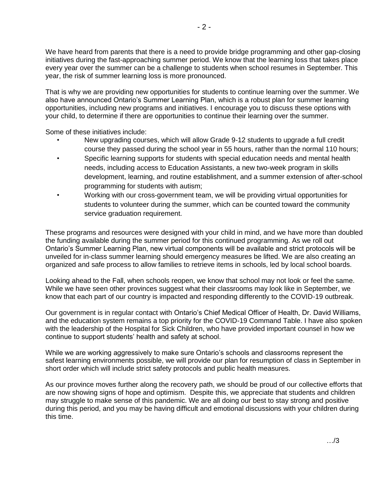We have heard from parents that there is a need to provide bridge programming and other gap-closing initiatives during the fast-approaching summer period. We know that the learning loss that takes place every year over the summer can be a challenge to students when school resumes in September. This year, the risk of summer learning loss is more pronounced.

That is why we are providing new opportunities for students to continue learning over the summer. We also have announced Ontario's Summer Learning Plan, which is a robust plan for summer learning opportunities, including new programs and initiatives. I encourage you to discuss these options with your child, to determine if there are opportunities to continue their learning over the summer.

Some of these initiatives include:

- New upgrading courses, which will allow Grade 9-12 students to upgrade a full credit course they passed during the school year in 55 hours, rather than the normal 110 hours;
- Specific learning supports for students with special education needs and mental health needs, including access to Education Assistants, a new two-week program in skills development, learning, and routine establishment, and a summer extension of after-school programming for students with autism;
- Working with our cross-government team, we will be providing virtual opportunities for students to volunteer during the summer, which can be counted toward the community service graduation requirement.

These programs and resources were designed with your child in mind, and we have more than doubled the funding available during the summer period for this continued programming. As we roll out Ontario's Summer Learning Plan, new virtual components will be available and strict protocols will be unveiled for in-class summer learning should emergency measures be lifted. We are also creating an organized and safe process to allow families to retrieve items in schools, led by local school boards.

Looking ahead to the Fall, when schools reopen, we know that school may not look or feel the same. While we have seen other provinces suggest what their classrooms may look like in September, we know that each part of our country is impacted and responding differently to the COVID-19 outbreak.

Our government is in regular contact with Ontario's Chief Medical Officer of Health, Dr. David Williams, and the education system remains a top priority for the COVID-19 Command Table. I have also spoken with the leadership of the Hospital for Sick Children, who have provided important counsel in how we continue to support students' health and safety at school.

While we are working aggressively to make sure Ontario's schools and classrooms represent the safest learning environments possible, we will provide our plan for resumption of class in September in short order which will include strict safety protocols and public health measures.

As our province moves further along the recovery path, we should be proud of our collective efforts that are now showing signs of hope and optimism. Despite this, we appreciate that students and children may struggle to make sense of this pandemic. We are all doing our best to stay strong and positive during this period, and you may be having difficult and emotional discussions with your children during this time.